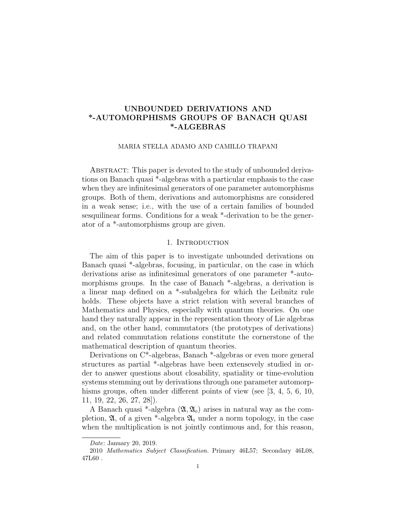# UNBOUNDED DERIVATIONS AND \*-AUTOMORPHISMS GROUPS OF BANACH QUASI \*-ALGEBRAS

#### MARIA STELLA ADAMO AND CAMILLO TRAPANI

ABSTRACT: This paper is devoted to the study of unbounded derivations on Banach quasi \*-algebras with a particular emphasis to the case when they are infinitesimal generators of one parameter automorphisms groups. Both of them, derivations and automorphisms are considered in a weak sense; i.e., with the use of a certain families of bounded sesquilinear forms. Conditions for a weak \*-derivation to be the generator of a \*-automorphisms group are given.

### 1. INTRODUCTION

The aim of this paper is to investigate unbounded derivations on Banach quasi \*-algebras, focusing, in particular, on the case in which derivations arise as infinitesimal generators of one parameter \*-automorphisms groups. In the case of Banach \*-algebras, a derivation is a linear map defined on a \*-subalgebra for which the Leibnitz rule holds. These objects have a strict relation with several branches of Mathematics and Physics, especially with quantum theories. On one hand they naturally appear in the representation theory of Lie algebras and, on the other hand, commutators (the prototypes of derivations) and related commutation relations constitute the cornerstone of the mathematical description of quantum theories.

Derivations on C\*-algebras, Banach \*-algebras or even more general structures as partial \*-algebras have been extensevely studied in order to answer questions about closability, spatiality or time-evolution systems stemming out by derivations through one parameter automorphisms groups, often under different points of view (see [3, 4, 5, 6, 10, 11, 19, 22, 26, 27, 28]).

A Banach quasi \*-algebra  $(\mathfrak{A}, \mathfrak{A}_0)$  arises in natural way as the completion,  $\mathfrak{A}$ , of a given  $*$ -algebra  $\mathfrak{A}_0$  under a norm topology, in the case when the multiplication is not jointly continuous and, for this reason,

Date: January 20, 2019.

<sup>2010</sup> Mathematics Subject Classification. Primary 46L57; Secondary 46L08, 47L60 .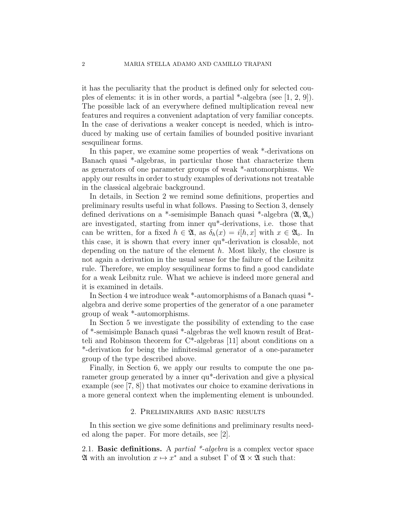it has the peculiarity that the product is defined only for selected couples of elements: it is in other words, a partial \*-algebra (see [1, 2, 9]). The possible lack of an everywhere defined multiplication reveal new features and requires a convenient adaptation of very familiar concepts. In the case of derivations a weaker concept is needed, which is introduced by making use of certain families of bounded positive invariant sesquilinear forms.

In this paper, we examine some properties of weak \*-derivations on Banach quasi \*-algebras, in particular those that characterize them as generators of one parameter groups of weak \*-automorphisms. We apply our results in order to study examples of derivations not treatable in the classical algebraic background.

In details, in Section 2 we remind some definitions, properties and preliminary results useful in what follows. Passing to Section 3, densely defined derivations on a \*-semisimple Banach quasi \*-algebra  $(\mathfrak{A}, \mathfrak{A}_0)$ are investigated, starting from inner qu\*-derivations, i.e. those that can be written, for a fixed  $h \in \mathfrak{A}$ , as  $\delta_h(x) = i[h, x]$  with  $x \in \mathfrak{A}_0$ . In this case, it is shown that every inner qu\*-derivation is closable, not depending on the nature of the element  $h$ . Most likely, the closure is not again a derivation in the usual sense for the failure of the Leibnitz rule. Therefore, we employ sesquilinear forms to find a good candidate for a weak Leibnitz rule. What we achieve is indeed more general and it is examined in details.

In Section 4 we introduce weak \*-automorphisms of a Banach quasi \* algebra and derive some properties of the generator of a one parameter group of weak \*-automorphisms.

In Section 5 we investigate the possibility of extending to the case of \*-semisimple Banach quasi \*-algebras the well known result of Bratteli and Robinson theorem for C\*-algebras [11] about conditions on a \*-derivation for being the infinitesimal generator of a one-parameter group of the type described above.

Finally, in Section 6, we apply our results to compute the one parameter group generated by a inner qu\*-derivation and give a physical example (see [7, 8]) that motivates our choice to examine derivations in a more general context when the implementing element is unbounded.

### 2. Preliminaries and basic results

In this section we give some definitions and preliminary results needed along the paper. For more details, see [2].

2.1. **Basic definitions.** A *partial*  $*$ -*algebra* is a complex vector space  $\mathfrak A$  with an involution  $x \mapsto x^*$  and a subset  $\Gamma$  of  $\mathfrak A \times \mathfrak A$  such that: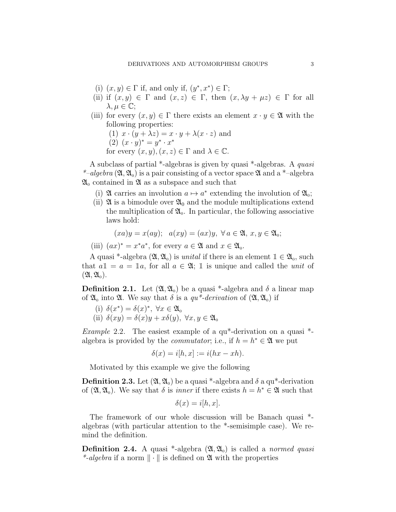- (i)  $(x, y) \in \Gamma$  if, and only if,  $(y^*, x^*) \in \Gamma$ ;
- (ii) if  $(x, y) \in \Gamma$  and  $(x, z) \in \Gamma$ , then  $(x, \lambda y + \mu z) \in \Gamma$  for all  $\lambda, \mu \in \mathbb{C}$ ;
- (iii) for every  $(x, y) \in \Gamma$  there exists an element  $x \cdot y \in \mathfrak{A}$  with the following properties:
	- (1)  $x \cdot (y + \lambda z) = x \cdot y + \lambda (x \cdot z)$  and
	- $(2) (x \cdot y)^* = y^* \cdot x^*$ for every  $(x, y), (x, z) \in \Gamma$  and  $\lambda \in \mathbb{C}$ .

A subclass of partial \*-algebras is given by quasi \*-algebras. A quasi \*-algebra  $(\mathfrak{A}, \mathfrak{A}_0)$  is a pair consisting of a vector space  $\mathfrak{A}$  and a \*-algebra  $\mathfrak{A}_0$  contained in  $\mathfrak A$  as a subspace and such that

- (i)  $\mathfrak A$  carries an involution  $a \mapsto a^*$  extending the involution of  $\mathfrak A_0$ ;
- (ii)  $\mathfrak{A}$  is a bimodule over  $\mathfrak{A}_0$  and the module multiplications extend the multiplication of  $\mathfrak{A}_0$ . In particular, the following associative laws hold:

$$
(xa)y = x(ay); a(xy) = (ax)y, \forall a \in \mathfrak{A}, x, y \in \mathfrak{A}_0;
$$

(iii)  $(ax)^* = x^*a^*$ , for every  $a \in \mathfrak{A}$  and  $x \in \mathfrak{A}_0$ .

A quasi \*-algebra  $(\mathfrak{A}, \mathfrak{A}_0)$  is unital if there is an element  $1 \in \mathfrak{A}_0$ , such that  $a\mathbb{1} = a = \mathbb{1}a$ , for all  $a \in \mathfrak{A}$ ;  $\mathbb{1}$  is unique and called the *unit* of  $(\mathfrak{A}, \mathfrak{A}_0).$ 

**Definition 2.1.** Let  $(\mathfrak{A}, \mathfrak{A}_0)$  be a quasi \*-algebra and  $\delta$  a linear map of  $\mathfrak{A}_0$  into  $\mathfrak{A}$ . We say that  $\delta$  is a  $qu^*$ -derivation of  $(\mathfrak{A}, \mathfrak{A}_0)$  if

- (i)  $\delta(x^*) = \delta(x)^*, \ \forall x \in \mathfrak{A}_0$
- (ii)  $\delta(xy) = \delta(x)y + x\delta(y)$ ,  $\forall x, y \in \mathfrak{A}_0$

*Example* 2.2. The easiest example of a  $qu^*$ -derivation on a quasi  $*$ algebra is provided by the *commutator*; i.e., if  $h = h^* \in \mathfrak{A}$  we put

$$
\delta(x) = i[h, x] := i(hx - xh).
$$

Motivated by this example we give the following

**Definition 2.3.** Let  $(\mathfrak{A}, \mathfrak{A}_0)$  be a quasi \*-algebra and  $\delta$  a qu\*-derivation of  $(\mathfrak{A}, \mathfrak{A}_0)$ . We say that  $\delta$  is *inner* if there exists  $h = h^* \in \mathfrak{A}$  such that

$$
\delta(x) = i[h, x].
$$

The framework of our whole discussion will be Banach quasi \* algebras (with particular attention to the \*-semisimple case). We remind the definition.

**Definition 2.4.** A quasi \*-algebra  $(\mathfrak{A}, \mathfrak{A}_0)$  is called a *normed quasi* \*-algebra if a norm  $\|\cdot\|$  is defined on  $\mathfrak A$  with the properties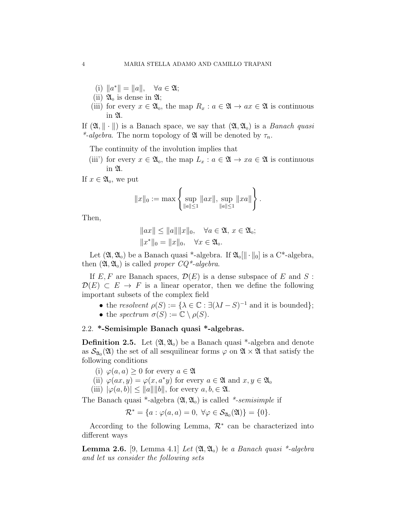- (i)  $\|a^*\| = \|a\|, \quad \forall a \in \mathfrak{A};$
- (ii)  $\mathfrak{A}_0$  is dense in  $\mathfrak{A}$ ;
- (iii) for every  $x \in \mathfrak{A}_0$ , the map  $R_x : a \in \mathfrak{A} \to ax \in \mathfrak{A}$  is continuous in A.

If  $(\mathfrak{A}, \|\cdot\|)$  is a Banach space, we say that  $(\mathfrak{A}, \mathfrak{A}_0)$  is a *Banach quasi* \*-algebra. The norm topology of  $\mathfrak A$  will be denoted by  $\tau_n$ .

The continuity of the involution implies that

(iii') for every  $x \in \mathfrak{A}_0$ , the map  $L_x : a \in \mathfrak{A} \to xa \in \mathfrak{A}$  is continuous in A.

If  $x \in \mathfrak{A}_0$ , we put

$$
||x||_0 := \max \left\{ \sup_{||a|| \le 1} ||ax||, \sup_{||a|| \le 1} ||xa|| \right\}.
$$

Then,

$$
||ax|| \le ||a|| ||x||_0, \quad \forall a \in \mathfrak{A}, x \in \mathfrak{A}_0;
$$
  
 $||x^*||_0 = ||x||_0, \quad \forall x \in \mathfrak{A}_0.$ 

Let  $(\mathfrak{A}, \mathfrak{A}_0)$  be a Banach quasi \*-algebra. If  $\mathfrak{A}_0[[\cdot \cdot \cdot]]_0$  is a C\*-algebra, then  $(\mathfrak{A}, \mathfrak{A}_0)$  is called proper  $CQ^*$ -algebra.

If  $E, F$  are Banach spaces,  $\mathcal{D}(E)$  is a dense subspace of E and S:  $\mathcal{D}(E) \subset E \to F$  is a linear operator, then we define the following important subsets of the complex field

- the resolvent  $\rho(S) := {\lambda \in \mathbb{C} : \exists (\lambda I S)^{-1} \text{ and it is bounded}};$
- the spectrum  $\sigma(S) := \mathbb{C} \setminus \rho(S)$ .

## 2.2. \*-Semisimple Banach quasi \*-algebras.

**Definition 2.5.** Let  $(\mathfrak{A}, \mathfrak{A}_0)$  be a Banach quasi \*-algebra and denote as  $\mathcal{S}_{\mathfrak{A}_0}(\mathfrak{A})$  the set of all sesquilinear forms  $\varphi$  on  $\mathfrak{A} \times \mathfrak{A}$  that satisfy the following conditions

- (i)  $\varphi(a, a) \geq 0$  for every  $a \in \mathfrak{A}$
- (ii)  $\varphi(ax, y) = \varphi(x, a^*y)$  for every  $a \in \mathfrak{A}$  and  $x, y \in \mathfrak{A}_0$
- (iii)  $|\varphi(a, b)| \le ||a|| ||b||$ , for every  $a, b \in \mathfrak{A}$ .

The Banach quasi \*-algebra  $(\mathfrak{A}, \mathfrak{A}_0)$  is called \*-semisimple if

$$
\mathcal{R}^* = \{a : \varphi(a, a) = 0, \ \forall \varphi \in \mathcal{S}_{\mathfrak{A}_0}(\mathfrak{A})\} = \{0\}.
$$

According to the following Lemma,  $\mathcal{R}^*$  can be characterized into different ways

**Lemma 2.6.** [9, Lemma 4.1] Let  $(\mathfrak{A}, \mathfrak{A}_0)$  be a Banach quasi \*-algebra and let us consider the following sets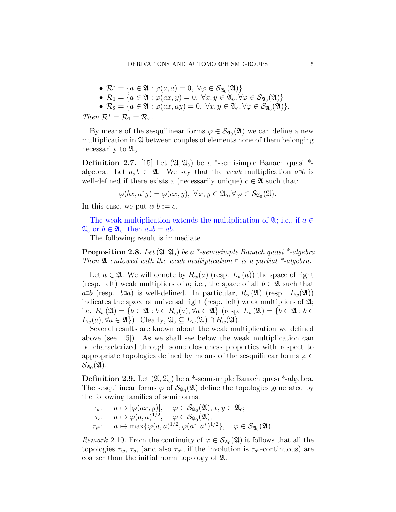- $\mathcal{R}^* = \{a \in \mathfrak{A} : \varphi(a, a) = 0, \ \forall \varphi \in \mathcal{S}_{\mathfrak{A}_0}(\mathfrak{A})\}\$
- $\mathcal{R}_1 = \{a \in \mathfrak{A} : \varphi(ax, y) = 0, \ \forall x, y \in \mathfrak{A}_0, \forall \varphi \in \mathcal{S}_{\mathfrak{A}_0}(\mathfrak{A})\}\$
- $\mathcal{R}_2 = \{a \in \mathfrak{A} : \varphi(ax, ay) = 0, \ \forall x, y \in \mathfrak{A}_0, \forall \varphi \in \mathcal{S}_{\mathfrak{A}_0}(\mathfrak{A})\}.$

Then  $\mathcal{R}^* = \mathcal{R}_1 = \mathcal{R}_2$ .

By means of the sesquilinear forms  $\varphi \in \mathcal{S}_{\mathfrak{A}_{0}}(\mathfrak{A})$  we can define a new multiplication in  $\mathfrak A$  between couples of elements none of them belonging necessarily to  $\mathfrak{A}_0$ .

**Definition 2.7.** [15] Let  $(\mathfrak{A}, \mathfrak{A}_0)$  be a \*-semisimple Banach quasi \*algebra. Let  $a, b \in \mathfrak{A}$ . We say that the *weak* multiplication  $a \circ b$  is well-defined if there exists a (necessarily unique)  $c \in \mathfrak{A}$  such that:

$$
\varphi(bx, a^*y) = \varphi(cx, y), \ \forall x, y \in \mathfrak{A}_0, \forall \varphi \in \mathcal{S}_{\mathfrak{A}_0}(\mathfrak{A}).
$$

In this case, we put  $a \Box b := c$ .

The weak-multiplication extends the multiplication of  $\mathfrak{A}$ ; i.e., if  $a \in$  $\mathfrak{A}_0$  or  $b \in \mathfrak{A}_0$ , then  $a \Box b = ab$ .

The following result is immediate.

**Proposition 2.8.** Let  $(\mathfrak{A}, \mathfrak{A}_0)$  be a \*-semisimple Banach quasi \*-algebra. Then  $\mathfrak A$  endowed with the weak multiplication  $\Box$  is a partial \*-algebra.

Let  $a \in \mathfrak{A}$ . We will denote by  $R_w(a)$  (resp.  $L_w(a)$ ) the space of right (resp. left) weak multipliers of a; i.e., the space of all  $b \in \mathfrak{A}$  such that  $a\Box b$  (resp.  $b\Box a$ ) is well-defined. In particular,  $R_w(\mathfrak{A})$  (resp.  $L_w(\mathfrak{A})$ ) indicates the space of universal right (resp. left) weak multipliers of  $\mathfrak{A}$ ; i.e.  $R_w(\mathfrak{A}) = \{b \in \mathfrak{A} : b \in R_w(a), \forall a \in \mathfrak{A}\}\$  (resp.  $L_w(\mathfrak{A}) = \{b \in \mathfrak{A} : b \in \mathfrak{A}\}\$  $L_w(a), \forall a \in \mathfrak{A}\}\)$ . Clearly,  $\mathfrak{A}_0 \subseteq L_w(\mathfrak{A}) \cap R_w(\mathfrak{A})$ .

Several results are known about the weak multiplication we defined above (see [15]). As we shall see below the weak multiplication can be characterized through some closedness properties with respect to appropriate topologies defined by means of the sesquilinear forms  $\varphi \in$  $\mathcal{S}_{\mathfrak{A}_0}(\mathfrak{A}).$ 

**Definition 2.9.** Let  $(\mathfrak{A}, \mathfrak{A}_0)$  be a \*-semisimple Banach quasi \*-algebra. The sesquilinear forms  $\varphi$  of  $\mathcal{S}_{\mathfrak{A}_0}(\mathfrak{A})$  define the topologies generated by the following families of seminorms:

$$
\tau_w: \quad a \mapsto |\varphi(ax, y)|, \quad \varphi \in \mathcal{S}_{\mathfrak{A}_0}(\mathfrak{A}), x, y \in \mathfrak{A}_0;
$$
\n
$$
\tau_s: \quad a \mapsto \varphi(a, a)^{1/2}, \quad \varphi \in \mathcal{S}_{\mathfrak{A}_0}(\mathfrak{A});
$$
\n
$$
\tau_{s^*}: \quad a \mapsto \max\{\varphi(a, a)^{1/2}, \varphi(a^*, a^*)^{1/2}\}, \quad \varphi \in \mathcal{S}_{\mathfrak{A}_0}(\mathfrak{A}).
$$

Remark 2.10. From the continuity of  $\varphi \in \mathcal{S}_{\mathfrak{A}_{0}}(\mathfrak{A})$  it follows that all the topologies  $\tau_w$ ,  $\tau_s$ , (and also  $\tau_{s^*}$ , if the involution is  $\tau_{s^*}$ -continuous) are coarser than the initial norm topology of A.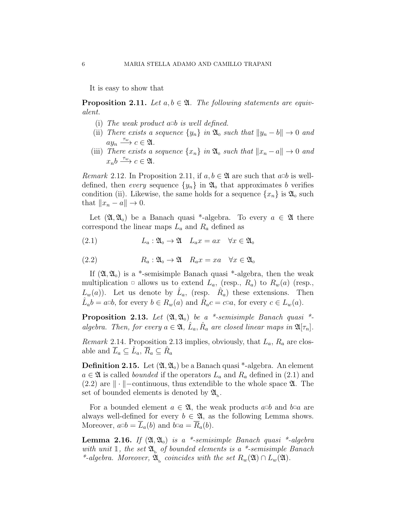It is easy to show that

**Proposition 2.11.** Let  $a, b \in \mathfrak{A}$ . The following statements are equivalent.

- (i) The weak product  $a \Box b$  is well defined.
- (ii) There exists a sequence  $\{y_n\}$  in  $\mathfrak{A}_0$  such that  $||y_n b|| \to 0$  and  $ay_n \xrightarrow{\tau_w} c \in \mathfrak{A}.$
- (iii) There exists a sequence  $\{x_n\}$  in  $\mathfrak{A}_0$  such that  $\|x_n a\| \to 0$  and  $x_n b \stackrel{\tau_w}{\longrightarrow} c \in \mathfrak{A}.$

*Remark* 2.12. In Proposition 2.11, if  $a, b \in \mathfrak{A}$  are such that  $a \circ b$  is welldefined, then every sequence  $\{y_n\}$  in  $\mathfrak{A}_0$  that approximates b verifies condition (ii). Likewise, the same holds for a sequence  $\{x_n\}$  is  $\mathfrak{A}_0$  such that  $||x_n - a|| \to 0$ .

Let  $(\mathfrak{A}, \mathfrak{A}_0)$  be a Banach quasi \*-algebra. To every  $a \in \mathfrak{A}$  there correspond the linear maps  $L_a$  and  $R_a$  defined as

(2.1) 
$$
L_a: \mathfrak{A}_0 \to \mathfrak{A} \quad L_a x = ax \quad \forall x \in \mathfrak{A}_0
$$

(2.2) 
$$
R_a: \mathfrak{A}_0 \to \mathfrak{A} \quad R_a x = x a \quad \forall x \in \mathfrak{A}_0
$$

If  $(\mathfrak{A}, \mathfrak{A}_0)$  is a \*-semisimple Banach quasi \*-algebra, then the weak multiplication  $\Box$  allows us to extend  $L_a$ , (resp.,  $R_a$ ) to  $R_w(a)$  (resp.,  $L_w(a)$ ). Let us denote by  $\hat{L}_a$ , (resp.  $\hat{R}_a$ ) these extensions. Then  $\hat{L}_a b = a \Box b$ , for every  $b \in R_w(a)$  and  $\hat{R}_a c = c \Box a$ , for every  $c \in L_w(a)$ .

**Proposition 2.13.** Let  $(\mathfrak{A}, \mathfrak{A}_0)$  be a \*-semisimple Banach quasi \*algebra. Then, for every  $a \in \mathfrak{A}$ ,  $\hat{L}_a$ ,  $\hat{R}_a$  are closed linear maps in  $\mathfrak{A}[\tau_n]$ .

*Remark* 2.14. Proposition 2.13 implies, obviously, that  $L_a$ ,  $R_a$  are closable and  $\overline{L}_a \subseteq \hat{L}_a$ ,  $\overline{R}_a \subseteq \hat{R}_a$ 

**Definition 2.15.** Let  $(\mathfrak{A}, \mathfrak{A}_0)$  be a Banach quasi \*-algebra. An element  $a \in \mathfrak{A}$  is called *bounded* if the operators  $L_a$  and  $R_a$  defined in (2.1) and (2.2) are  $\|\cdot\|$ −continuous, thus extendible to the whole space  $\mathfrak{A}$ . The set of bounded elements is denoted by  $\mathfrak{A}_{\text{b}}$ .

For a bounded element  $a \in \mathfrak{A}$ , the weak products  $a \Box b$  and  $b \Box a$  are always well-defined for every  $b \in \mathfrak{A}$ , as the following Lemma shows. Moreover,  $a \Box b = \overline{L}_a(b)$  and  $b \Box a = \overline{R}_a(b)$ .

**Lemma 2.16.** If  $(\mathfrak{A}, \mathfrak{A}_0)$  is a \*-semisimple Banach quasi \*-algebra with unit  $\mathbb{1}$ , the set  $\mathfrak{A}_{\mathfrak{b}}$  of bounded elements is a \*-semisimple Banach \*-algebra. Moreover,  $\mathfrak{A}_{\mathrm{b}}$  coincides with the set  $R_w(\mathfrak{A}) \cap L_w(\mathfrak{A})$ .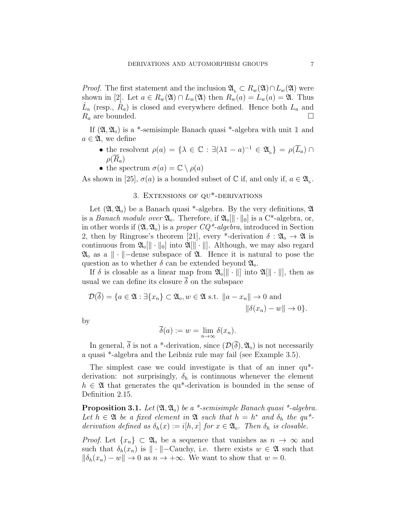*Proof.* The first statement and the inclusion  $\mathfrak{A}_{\mathfrak{b}} \subset R_w(\mathfrak{A}) \cap L_w(\mathfrak{A})$  were shown in [2]. Let  $a \in R_w(\mathfrak{A}) \cap L_w(\mathfrak{A})$  then  $R_w(a) = L_w(a) = \mathfrak{A}$ . Thus  $\hat{L}_a$  (resp.,  $\hat{R}_a$ ) is closed and everywhere defined. Hence both  $L_a$  and  $R_a$  are bounded.

If  $(\mathfrak{A}, \mathfrak{A}_0)$  is a \*-semisimple Banach quasi \*-algebra with unit 1 and  $a \in \mathfrak{A}$ , we define

- the resolvent  $\rho(a) = {\lambda \in \mathbb{C} : \exists (\lambda \mathbb{1} a)^{-1} \in \mathfrak{A}_{\mathsf{b}}} = \rho(\overline{L}_a) \cap$  $\rho(R_a)$
- the spectrum  $\sigma(a) = \mathbb{C} \setminus \rho(a)$

As shown in [25],  $\sigma(a)$  is a bounded subset of  $\mathbb C$  if, and only if,  $a \in \mathfrak{A}_{\mathbf{b}}$ .

# 3. Extensions of qu\*-derivations

Let  $(\mathfrak{A}, \mathfrak{A}_0)$  be a Banach quasi \*-algebra. By the very definitions,  $\mathfrak A$ is a *Banach module over*  $\mathfrak{A}_0$ . Therefore, if  $\mathfrak{A}_0[\|\cdot\|_0]$  is a C<sup>\*</sup>-algebra, or, in other words if  $(\mathfrak{A}, \mathfrak{A}_0)$  is a proper  $CQ^*$ -algebra, introduced in Section 2, then by Ringrose's theorem [21], every \*-derivation  $\delta : \mathfrak{A}_{0} \to \mathfrak{A}$  is continuous from  $\mathfrak{A}_{0}[\|\cdot\|_{0}]$  into  $\mathfrak{A}[\|\cdot\|]$ . Although, we may also regard  $\mathfrak{A}_{0}$  as a  $\|\cdot\|$ −dense subspace of  $\mathfrak{A}_{1}$ . Hence it is natural to pose the question as to whether  $\delta$  can be extended beyond  $\mathfrak{A}_0$ .

If  $\delta$  is closable as a linear map from  $\mathfrak{A}_{0}[\|\cdot\|]$  into  $\mathfrak{A}[\|\cdot\|]$ , then as usual we can define its closure  $\overline{\delta}$  on the subspace

$$
\mathcal{D}(\overline{\delta}) = \{a \in \mathfrak{A} : \exists \{x_n\} \subset \mathfrak{A}_0, w \in \mathfrak{A} \text{ s.t. } \|a - x_n\| \to 0 \text{ and } \|\delta(x_n) - w\| \to 0\}.
$$

by

$$
\overline{\delta}(a) := w = \lim_{n \to \infty} \delta(x_n).
$$

In general,  $\overline{\delta}$  is not a <sup>\*</sup>-derivation, since  $(\mathcal{D}(\overline{\delta}), \mathfrak{A}_0)$  is not necessarily a quasi \*-algebra and the Leibniz rule may fail (see Example 3.5).

The simplest case we could investigate is that of an inner qu\* derivation: not surprisingly,  $\delta_h$  is continuous whenever the element  $h \in \mathfrak{A}$  that generates the qu<sup>\*</sup>-derivation is bounded in the sense of Definition 2.15.

**Proposition 3.1.** Let  $(\mathfrak{A}, \mathfrak{A}_0)$  be a \*-semisimple Banach quasi \*-algebra. Let  $h \in \mathfrak{A}$  be a fixed element in  $\mathfrak{A}$  such that  $h = h^*$  and  $\delta_h$  the qu<sup>\*</sup>derivation defined as  $\delta_h(x) := i[h, x]$  for  $x \in \mathfrak{A}_0$ . Then  $\delta_h$  is closable.

*Proof.* Let  $\{x_n\} \subset \mathfrak{A}_0$  be a sequence that vanishes as  $n \to \infty$  and such that  $\delta_h(x_n)$  is  $\|\cdot\|$ −Cauchy, i.e. there exists  $w \in \mathfrak{A}$  such that  $\|\delta_h(x_n) - w\| \to 0$  as  $n \to +\infty$ . We want to show that  $w = 0$ .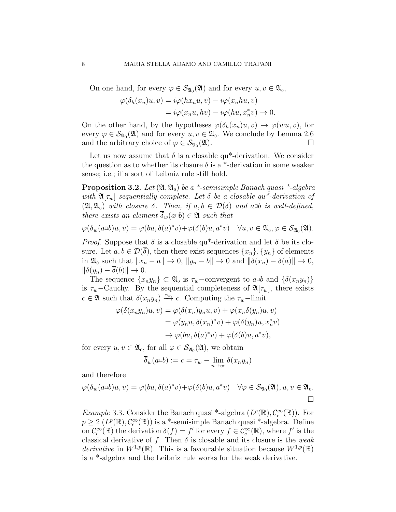On one hand, for every  $\varphi \in \mathcal{S}_{\mathfrak{A}_{0}}(\mathfrak{A})$  and for every  $u, v \in \mathfrak{A}_{0}$ ,

$$
\varphi(\delta_h(x_n)u, v) = i\varphi(hx_nu, v) - i\varphi(x_nhu, v)
$$
  
=  $i\varphi(x_nu, hv) - i\varphi(hu, x_n^*v) \to 0.$ 

On the other hand, by the hypotheses  $\varphi(\delta_h(x_n)u, v) \to \varphi(wu, v)$ , for every  $\varphi \in \mathcal{S}_{\mathfrak{A}_{0}}(\mathfrak{A})$  and for every  $u, v \in \mathfrak{A}_{0}$ . We conclude by Lemma 2.6 and the arbitrary choice of  $\varphi \in \mathcal{S}_{\mathfrak{A}_{0}}(\mathfrak{A}).$  $(2\mathfrak{l})$ .

Let us now assume that  $\delta$  is a closable qu<sup>\*</sup>-derivation. We consider the question as to whether its closure  $\delta$  is a \*-derivation in some weaker sense; i.e.; if a sort of Leibniz rule still hold.

**Proposition 3.2.** Let  $(\mathfrak{A}, \mathfrak{A}_0)$  be a \*-semisimple Banach quasi \*-algebra with  $\mathfrak{A}[\tau_w]$  sequentially complete. Let  $\delta$  be a closable qu\*-derivation of  $(\mathfrak{A}, \mathfrak{A}_0)$  with closure  $\delta$ . Then, if  $a, b \in \mathcal{D}(\delta)$  and  $a \Box b$  is well-defined, there exists an element  $\overline{\delta}_w(a\Box b) \in \mathfrak{A}$  such that

$$
\varphi(\overline{\delta}_w(a\Box b)u,v)=\varphi(bu,\overline{\delta}(a)^*v)+\varphi(\overline{\delta}(b)u,a^*v)\quad\forall u,v\in\mathfrak{A}_0,\varphi\in\mathcal{S}_{\mathfrak{A}_0}(\mathfrak{A}).
$$

*Proof.* Suppose that  $\delta$  is a closable qu<sup>\*</sup>-derivation and let  $\overline{\delta}$  be its closure. Let  $a, b \in \mathcal{D}(\overline{\delta})$ , then there exist sequences  $\{x_n\}, \{y_n\}$  of elements in  $\mathfrak{A}_0$  such that  $||x_n - a|| \to 0$ ,  $||y_n - b|| \to 0$  and  $||\delta(x_n) - \overline{\delta}(a)|| \to 0$ ,  $\|\delta(y_n) - \overline{\delta}(b)\| \to 0.$ 

The sequence  $\{x_n y_n\} \subset \mathfrak{A}_0$  is  $\tau_w$ -convergent to  $a \circ b$  and  $\{\delta(x_n y_n)\}$ is  $\tau_w$ –Cauchy. By the sequential completeness of  $\mathfrak{A}[\tau_w]$ , there exists  $c \in \mathfrak{A}$  such that  $\delta(x_n y_n) \xrightarrow{\tau_w} c$ . Computing the  $\tau_w$ -limit

$$
\varphi(\delta(x_ny_n)u, v) = \varphi(\delta(x_n)y_nu, v) + \varphi(x_n\delta(y_n)u, v)
$$
  

$$
= \varphi(y_nu, \delta(x_n)^*v) + \varphi(\delta(y_n)u, x_n^*v)
$$
  

$$
\to \varphi(bu, \overline{\delta}(a)^*v) + \varphi(\overline{\delta}(b)u, a^*v),
$$

for every  $u, v \in \mathfrak{A}_0$ , for all  $\varphi \in \mathcal{S}_{\mathfrak{A}_0}(\mathfrak{A}),$  we obtain

$$
\overline{\delta}_w(a\Box b) := c = \tau_w - \lim_{n \to \infty} \delta(x_n y_n)
$$

and therefore

$$
\varphi(\overline{\delta}_w(a\Box b)u,v)=\varphi(bu,\overline{\delta}(a)^*v)+\varphi(\overline{\delta}(b)u,a^*v)\quad\forall\varphi\in\mathcal{S}_{\mathfrak{A}_0}(\mathfrak{A}),u,v\in\mathfrak{A}_0.
$$

Example 3.3. Consider the Banach quasi \*-algebra  $(L^p(\mathbb{R}), \mathcal{C}_c^{\infty}(\mathbb{R}))$ . For  $p \geq 2 \left( L^p(\mathbb{R}), \mathcal{C}_c^{\infty}(\mathbb{R}) \right)$  is a \*-semisimple Banach quasi \*-algebra. Define on  $\mathcal{C}_c^{\infty}(\mathbb{R})$  the derivation  $\delta(f) = f'$  for every  $f \in \mathcal{C}_c^{\infty}(\mathbb{R})$ , where f' is the classical derivative of f. Then  $\delta$  is closable and its closure is the *weak* derivative in  $W^{1,p}(\mathbb{R})$ . This is a favourable situation because  $W^{1,p}(\mathbb{R})$ is a \*-algebra and the Leibniz rule works for the weak derivative.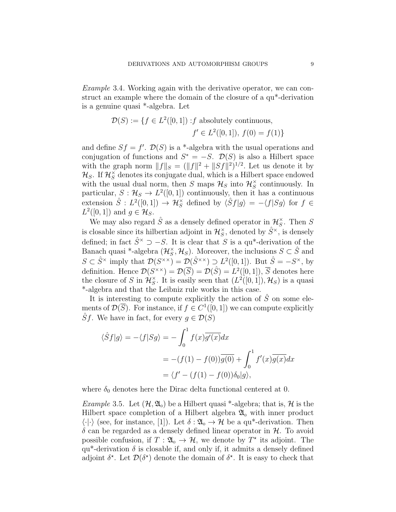Example 3.4. Working again with the derivative operator, we can construct an example where the domain of the closure of a qu\*-derivation is a genuine quasi \*-algebra. Let

$$
\mathcal{D}(S) := \{ f \in L^2([0,1]) : f \text{ absolutely continuous, } f' \in L^2([0,1]), f(0) = f(1) \}
$$

and define  $Sf = f'$ .  $\mathcal{D}(S)$  is a \*-algebra with the usual operations and conjugation of functions and  $S^* = -S$ .  $\mathcal{D}(S)$  is also a Hilbert space with the graph norm  $||f||_S = (||f||^2 + ||Sf||^2)^{1/2}$ . Let us denote it by  $\mathcal{H}_S$ . If  $\mathcal{H}_S^{\times}$  denotes its conjugate dual, which is a Hilbert space endowed with the usual dual norm, then S maps  $\mathcal{H}_S$  into  $\mathcal{H}_S^{\times}$  continuously. In particular,  $S: \mathcal{H}_S \to L^2([0,1])$  continuously, then it has a continuous extension  $\hat{S}$ :  $L^2([0,1]) \to \mathcal{H}_S^{\times}$  defined by  $\langle \hat{S}f|g \rangle = -\langle f|Sg \rangle$  for  $f \in$  $L^2([0,1])$  and  $g \in \mathcal{H}_S$ .

We may also regard  $\hat{S}$  as a densely defined operator in  $\mathcal{H}_S^{\times}$ . Then S is closable since its hilbertian adjoint in  $\mathcal{H}_S^{\times}$ , denoted by  $\hat{S}^{\times}$ , is densely defined; in fact  $\hat{S}^{\times} \supset -S$ . It is clear that S is a qu<sup>\*</sup>-derivation of the Banach quasi \*-algebra  $(\mathcal{H}_S^{\times}, \mathcal{H}_S)$ . Moreover, the inclusions  $S \subset \hat{S}$  and  $S \subset \hat{S}^{\times}$  imply that  $\mathcal{D}(S^{\times \times}) = \mathcal{D}(\hat{S}^{\times \times}) \supset L^2([0,1])$ . But  $\hat{S} = -S^{\times}$ , by definition. Hence  $\mathcal{D}(S^{\times \times}) = \mathcal{D}(\overline{S}) = \mathcal{D}(\hat{S}) = L^2([0,1]), \overline{S}$  denotes here the closure of S in  $\mathcal{H}_{S}^{\times}$ . It is easily seen that  $(L^{2}([0,1]), \mathcal{H}_{S})$  is a quasi \*-algebra and that the Leibniz rule works in this case.

It is interesting to compute explicitly the action of  $\hat{S}$  on some elements of  $\mathcal{D}(\overline{S})$ . For instance, if  $f \in C^1([0,1])$  we can compute explicitly  $\hat{S}f$ . We have in fact, for every  $q \in \mathcal{D}(S)$ 

$$
\langle \hat{S}f|g \rangle = -\langle f|Sg \rangle = -\int_0^1 f(x)\overline{g'(x)}dx
$$
  
=  $-(f(1) - f(0))\overline{g(0)} + \int_0^1 f'(x)\overline{g(x)}dx$   
=  $\langle f' - (f(1) - f(0))\delta_0|g \rangle$ ,

where  $\delta_0$  denotes here the Dirac delta functional centered at 0.

*Example* 3.5. Let  $(\mathcal{H}, \mathfrak{A}_0)$  be a Hilbert quasi \*-algebra; that is,  $\mathcal{H}$  is the Hilbert space completion of a Hilbert algebra  $\mathfrak{A}_{0}$  with inner product  $\langle \cdot | \cdot \rangle$  (see, for instance, [1]). Let  $\delta : \mathfrak{A}_{0} \to \mathcal{H}$  be a qu<sup>\*</sup>-derivation. Then  $\delta$  can be regarded as a densely defined linear operator in  $\mathcal{H}$ . To avoid possible confusion, if  $T: \mathfrak{A}_{0} \to \mathcal{H}$ , we denote by  $T^*$  its adjoint. The qu<sup>\*</sup>-derivation  $\delta$  is closable if, and only if, it admits a densely defined adjoint  $\delta^*$ . Let  $\mathcal{D}(\delta^*)$  denote the domain of  $\delta^*$ . It is easy to check that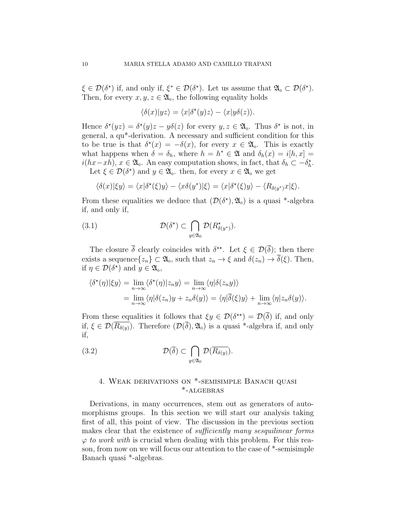$\xi \in \mathcal{D}(\delta^*)$  if, and only if,  $\xi^* \in \mathcal{D}(\delta^*)$ . Let us assume that  $\mathfrak{A}_0 \subset \mathcal{D}(\delta^*)$ . Then, for every  $x, y, z \in \mathfrak{A}_0$ , the following equality holds

$$
\langle \delta(x) | yz \rangle = \langle x | \delta^*(y)z \rangle - \langle x | y\delta(z) \rangle.
$$

Hence  $\delta^*(yz) = \delta^*(y)z - y\delta(z)$  for every  $y, z \in \mathfrak{A}_0$ . Thus  $\delta^*$  is not, in general, a qu\*-derivation. A necessary and sufficient condition for this to be true is that  $\delta^*(x) = -\delta(x)$ , for every  $x \in \mathfrak{A}_0$ . This is exactly what happens when  $\delta = \delta_h$ , where  $h = h^* \in \mathfrak{A}$  and  $\delta_h(x) = i[h, x] =$  $i(hx-xh)$ ,  $x \in \mathfrak{A}_0$ . An easy computation shows, in fact, that  $\delta_h \subset -\delta_h^*$ . Let  $\xi \in \mathcal{D}(\delta^*)$  and  $y \in \mathfrak{A}_0$ , then, for every  $x \in \mathfrak{A}_0$  we get

$$
\langle \delta(x)|\xi y \rangle = \langle x|\delta^*(\xi)y \rangle - \langle x\delta(y^*)|\xi \rangle = \langle x|\delta^*(\xi)y \rangle - \langle R_{\delta(y^*)}x|\xi \rangle.
$$

From these equalities we deduce that  $(\mathcal{D}(\delta^*), \mathfrak{A}_0)$  is a quasi \*-algebra if, and only if,

(3.1) 
$$
\mathcal{D}(\delta^*) \subset \bigcap_{y \in \mathfrak{A}_0} \mathcal{D}(R^*_{\delta(y^*)}).
$$

The closure  $\bar{\delta}$  clearly coincides with  $\delta^{\star\star}$ . Let  $\xi \in \mathcal{D}(\bar{\delta})$ ; then there exists a sequence $\{z_n\} \subset \mathfrak{A}_0$ , such that  $z_n \to \xi$  and  $\delta(z_n) \to \overline{\delta}(\xi)$ . Then, if  $\eta \in \mathcal{D}(\delta^*)$  and  $y \in \mathfrak{A}_0$ ,

$$
\langle \delta^*(\eta) | \xi y \rangle = \lim_{n \to \infty} \langle \delta^*(\eta) | z_n y \rangle = \lim_{n \to \infty} \langle \eta | \delta(z_n y) \rangle
$$
  
= 
$$
\lim_{n \to \infty} \langle \eta | \delta(z_n) y + z_n \delta(y) \rangle = \langle \eta | \overline{\delta}(\xi) y \rangle + \lim_{n \to \infty} \langle \eta | z_n \delta(y) \rangle.
$$

From these equalities it follows that  $\xi y \in \mathcal{D}(\delta^{**}) = \mathcal{D}(\overline{\delta})$  if, and only if,  $\xi \in \mathcal{D}(\overline{R_{\delta(y)}})$ . Therefore  $(\mathcal{D}(\overline{\delta}), \mathfrak{A}_0)$  is a quasi \*-algebra if, and only if,

(3.2) 
$$
\mathcal{D}(\overline{\delta}) \subset \bigcap_{y \in \mathfrak{A}_0} \mathcal{D}(\overline{R_{\delta(y)}}).
$$

# 4. Weak derivations on \*-semisimple Banach quasi \*-algebras

Derivations, in many occurrences, stem out as generators of automorphisms groups. In this section we will start our analysis taking first of all, this point of view. The discussion in the previous section makes clear that the existence of *sufficiently many sesquilinear forms*  $\varphi$  to work with is crucial when dealing with this problem. For this reason, from now on we will focus our attention to the case of \*-semisimple Banach quasi \*-algebras.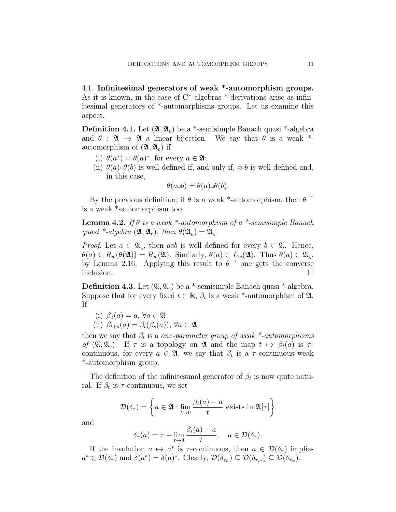4.1. Infinitesimal generators of weak \*-automorphism groups. As it is known, in the case of  $C^*$ -algebras  $*$ -derivations arise as infinitesimal generators of \*-automorphisms groups. Let us examine this aspect.

**Definition 4.1.** Let  $(\mathfrak{A}, \mathfrak{A}_0)$  be a \*-semisimple Banach quasi \*-algebra and  $\theta$  :  $\mathfrak{A} \rightarrow \mathfrak{A}$  a linear bijection. We say that  $\theta$  is a weak  $*$ automorphism of  $(\mathfrak{A}, \mathfrak{A}_0)$  if

- (i)  $\theta(a^*) = \theta(a)^*$ , for every  $a \in \mathfrak{A}$ ;
- (ii)  $\theta(a) = \theta(b)$  is well defined if, and only if,  $a = b$  is well defined and, in this case,

$$
\theta(a\Box b) = \theta(a)\Box\theta(b).
$$

By the previous definition, if  $\theta$  is a weak \*-automorphism, then  $\theta^{-1}$ is a weak \*-automorphism too.

**Lemma 4.2.** If  $\theta$  is a weak \*-automorphism of a \*-semisimple Banach quasi \*-algebra  $(\mathfrak{A}, \mathfrak{A}_{0})$ , then  $\theta(\mathfrak{A}_{b}) = \mathfrak{A}_{b}$ .

*Proof.* Let  $a \in \mathfrak{A}_b$ , then  $a \Box b$  is well defined for every  $b \in \mathfrak{A}$ . Hence,  $\theta(a) \in R_w(\theta(\mathfrak{A})) = R_w(\mathfrak{A})$ . Similarly,  $\theta(a) \in L_w(\mathfrak{A})$ . Thus  $\theta(a) \in \mathfrak{A}_b$ , by Lemma 2.16. Applying this result to  $\theta^{-1}$  one gets the converse  $\Box$ inclusion.  $\Box$ 

**Definition 4.3.** Let  $(\mathfrak{A}, \mathfrak{A}_0)$  be a \*-semisimple Banach quasi \*-algebra. Suppose that for every fixed  $t \in \mathbb{R}$ ,  $\beta_t$  is a weak \*-automorphism of  $\mathfrak{A}$ . If

(i) 
$$
\beta_0(a) = a, \forall a \in \mathfrak{A}
$$
  
(ii)  $\beta_{t+s}(a) = \beta_t(\beta_s(a)), \forall a \in \mathfrak{A}$ 

then we say that  $\beta_t$  is a *one-parameter group of weak* \*-*automorphisms* of  $(\mathfrak{A}, \mathfrak{A}_0)$ . If  $\tau$  is a topology on  $\mathfrak{A}$  and the map  $t \mapsto \beta_t(a)$  is  $\tau$ continuous, for every  $a \in \mathfrak{A}$ , we say that  $\beta_t$  is a  $\tau$ -continuous weak \*-automorphism group.

The definition of the infinitesimal generator of  $\beta_t$  is now quite natural. If  $\beta_t$  is  $\tau$ -continuous, we set

$$
\mathcal{D}(\delta_{\tau}) = \left\{ a \in \mathfrak{A} : \lim_{t \to 0} \frac{\beta_t(a) - a}{t} \text{ exists in } \mathfrak{A}[\tau] \right\}
$$

and

$$
\delta_{\tau}(a) = \tau - \lim_{t \to 0} \frac{\beta_t(a) - a}{t}, \quad a \in \mathcal{D}(\delta_{\tau}).
$$

If the involution  $a \mapsto a^*$  is  $\tau$ -continuous, then  $a \in \mathcal{D}(\delta_\tau)$  implies  $a^* \in \mathcal{D}(\delta_\tau)$  and  $\delta(a^*) = \delta(a)^*$ . Clearly,  $\mathcal{D}(\delta_{\tau_n}) \subseteq \mathcal{D}(\delta_{\tau_{s^*}}) \subseteq \mathcal{D}(\delta_{\tau_w})$ .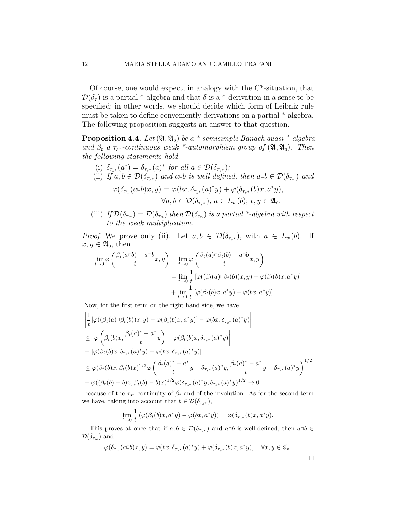Of course, one would expect, in analogy with the C\*-situation, that  $\mathcal{D}(\delta_{\tau})$  is a partial \*-algebra and that  $\delta$  is a \*-derivation in a sense to be specified; in other words, we should decide which form of Leibniz rule must be taken to define conveniently derivations on a partial \*-algebra. The following proposition suggests an answer to that question.

**Proposition 4.4.** Let  $(\mathfrak{A}, \mathfrak{A}_0)$  be a \*-semisimple Banach quasi \*-algebra and  $\beta_t$  a  $\tau_{s^*}$ -continuous weak \*-automorphism group of  $(\mathfrak{A}, \mathfrak{A}_0)$ . Then the following statements hold.

- (i)  $\delta_{\tau_{s^*}}(a^*) = \delta_{\tau_{s^*}}(a)^*$  for all  $a \in \mathcal{D}(\delta_{\tau_{s^*}})$ ;
- (ii) If  $a, b \in \mathcal{D}(\delta_{\tau_{s^*}})$  and  $a \circ b$  is well defined, then  $a \circ b \in \mathcal{D}(\delta_{\tau_w})$  and

$$
\varphi(\delta_{\tau_w}(a\Box b)x, y) = \varphi(bx, \delta_{\tau_{s^*}}(a)^*y) + \varphi(\delta_{\tau_{s^*}}(b)x, a^*y),
$$
  

$$
\forall a, b \in \mathcal{D}(\delta_{\tau_{s^*}}), a \in L_w(b); x, y \in \mathfrak{A}_0.
$$

(iii) If  $\mathcal{D}(\delta_{\tau_w}) = \mathcal{D}(\delta_{\tau_n})$  then  $\mathcal{D}(\delta_{\tau_n})$  is a partial \*-algebra with respect to the weak multiplication.

*Proof.* We prove only (ii). Let  $a, b \in \mathcal{D}(\delta_{\tau,*})$ , with  $a \in L_w(b)$ . If  $x, y \in \mathfrak{A}_0$ , then

$$
\lim_{t \to 0} \varphi \left( \frac{\beta_t(a \Box b) - a \Box b}{t} x, y \right) = \lim_{t \to 0} \varphi \left( \frac{\beta_t(a) \Box \beta_t(b) - a \Box b}{t} x, y \right)
$$

$$
= \lim_{t \to 0} \frac{1}{t} \left[ \varphi((\beta_t(a) \Box \beta_t(b)) x, y) - \varphi(\beta_t(b) x, a^* y) \right]
$$

$$
+ \lim_{t \to 0} \frac{1}{t} \left[ \varphi(\beta_t(b) x, a^* y) - \varphi(b x, a^* y) \right]
$$

Now, for the first term on the right hand side, we have

$$
\begin{split}\n&\left|\frac{1}{t}\left[\varphi((\beta_t(a)\Box \beta_t(b))x,y) - \varphi(\beta_t(b)x,a^*y)\right] - \varphi(bx,\delta_{\tau_{s^*}}(a)^*y)\right| \\
&\leq \left|\varphi\left(\beta_t(b)x,\frac{\beta_t(a)^* - a^*}{t}y\right) - \varphi(\beta_t(b)x,\delta_{\tau_{s^*}}(a)^*y)\right| \\
&+ \left|\varphi(\beta_t(b)x,\delta_{\tau_{s^*}}(a)^*y) - \varphi(bx,\delta_{\tau_{s^*}}(a)^*y)\right| \\
&\leq \varphi(\beta_t(b)x,\beta_t(b)x)^{1/2}\varphi\left(\frac{\beta_t(a)^* - a^*}{t}y - \delta_{\tau_{s^*}}(a)^*y,\frac{\beta_t(a)^* - a^*}{t}y - \delta_{\tau_{s^*}}(a)^*y\right)^{1/2} \\
&+ \varphi((\beta_t(b)-b)x,\beta_t(b)-b)x)^{1/2}\varphi(\delta_{\tau_{s^*}}(a)^*y,\delta_{\tau_{s^*}}(a)^*y)^{1/2} \to 0.\n\end{split}
$$

because of the  $\tau_{s^*}$ -continuity of  $\beta_t$  and of the involution. As for the second term we have, taking into account that  $b \in \mathcal{D}(\delta_{\tau_{s^*}})$ ,

$$
\lim_{t \to 0} \frac{1}{t} \left( \varphi(\beta_t(b)x, a^*y) - \varphi(bx, a^*y) \right) = \varphi(\delta_{\tau_{s^*}}(b)x, a^*y).
$$

This proves at once that if  $a, b \in \mathcal{D}(\delta_{\tau,*})$  and  $a \Box b$  is well-defined, then  $a \Box b \in$  $\mathcal{D}(\delta_{\tau_w})$  and

$$
\varphi(\delta_{\tau_w}(a\Box b)x,y)=\varphi(bx,\delta_{\tau_{s^*}}(a)^*y)+\varphi(\delta_{\tau_{s^*}}(b)x,a^*y),\quad \forall x,y\in\mathfrak{A}_0.
$$

 $\Box$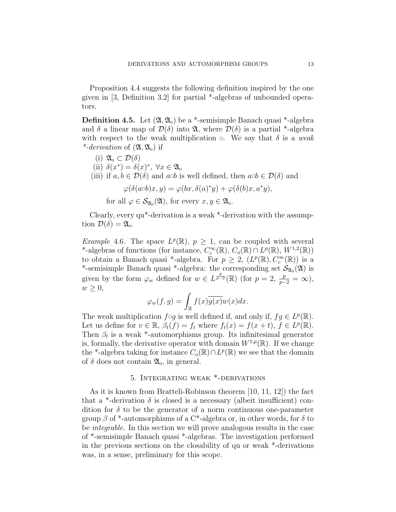Proposition 4.4 suggests the following definition inspired by the one given in [3, Definition 3.2] for partial \*-algebras of unbounded operators.

**Definition 4.5.** Let  $(\mathfrak{A}, \mathfrak{A}_0)$  be a \*-semisimple Banach quasi \*-algebra and  $\delta$  a linear map of  $\mathcal{D}(\delta)$  into  $\mathfrak{A}$ , where  $\mathcal{D}(\delta)$  is a partial \*-algebra with respect to the weak multiplication  $\Box$ . We say that  $\delta$  is a weak \*-derivation of  $(\mathfrak{A}, \mathfrak{A}_{0})$  if

- (i)  $\mathfrak{A}_{0} \subset \mathcal{D}(\delta)$
- (ii)  $\delta(x^*) = \delta(x)^*, \ \forall x \in \mathfrak{A}_0$
- (iii) if  $a, b \in \mathcal{D}(\delta)$  and  $a \Box b$  is well defined, then  $a \Box b \in \mathcal{D}(\delta)$  and

$$
\varphi(\delta(a\Box b)x, y) = \varphi(bx, \delta(a)^*y) + \varphi(\delta(b)x, a^*y),
$$

for all  $\varphi \in \mathcal{S}_{\mathfrak{A}_{0}}(\mathfrak{A}),$  for every  $x, y \in \mathfrak{A}_{0}$ .

Clearly, every qu\*-derivation is a weak \*-derivation with the assumption  $\mathcal{D}(\delta) = \mathfrak{A}_0$ .

*Example* 4.6. The space  $L^p(\mathbb{R})$ ,  $p \geq 1$ , can be coupled with several \*-algebras of functions (for instance,  $C_c^{\infty}(\mathbb{R})$ ,  $C_o(\mathbb{R}) \cap L^p(\mathbb{R})$ ,  $W^{1,2}(\mathbb{R})$ ) to obtain a Banach quasi \*-algebra. For  $p \geq 2$ ,  $(L^p(\mathbb{R}), C_c^{\infty}(\mathbb{R}))$  is a \*-semisimple Banach quasi \*-algebra: the corresponding set  $\mathcal{S}_{\mathfrak{A}_0}(\mathfrak{A})$  is given by the form  $\varphi_w$  defined for  $w \in L^{\frac{p}{p-2}}(\mathbb{R})$  (for  $p=2, \frac{p}{p-2}=\infty$ ),  $w \geq 0$ ,

$$
\varphi_w(f,g) = \int_{\mathbb{R}} f(x) \overline{g(x)} w(x) dx.
$$

The weak multiplication  $f \Box g$  is well defined if, and only if,  $fg \in L^p(\mathbb{R})$ . Let us define for  $v \in \mathbb{R}$ ,  $\beta_t(f) = f_t$  where  $f_t(x) = f(x + t)$ ,  $f \in L^p(\mathbb{R})$ . Then  $\beta_t$  is a weak \*-automorphisms group. Its infinitesimal generator is, formally, the derivative operator with domain  $W^{1,p}(\mathbb{R})$ . If we change the \*-algebra taking for instance  $C_o(\mathbb{R}) \cap L^p(\mathbb{R})$  we see that the domain of  $\delta$  does not contain  $\mathfrak{A}_0$ , in general.

## 5. Integrating weak \*-derivations

As it is known from Bratteli-Robinson theorem [10, 11, 12]) the fact that a <sup>\*</sup>-derivation  $\delta$  is closed is a necessary (albeit insufficient) condition for  $\delta$  to be the generator of a norm continuous one-parameter group  $\beta$  of \*-automorphisms of a C\*-algebra or, in other words, for  $\delta$  to be integrable. In this section we will prove analogous results in the case of \*-semisimple Banach quasi \*-algebras. The investigation performed in the previous sections on the closability of qu or weak \*-derivations was, in a sense, preliminary for this scope.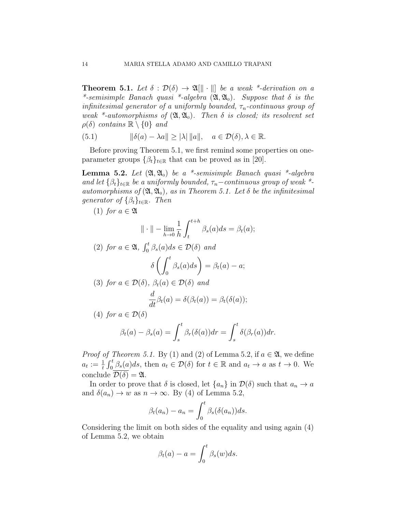**Theorem 5.1.** Let  $\delta : \mathcal{D}(\delta) \to \mathfrak{A}[\|\cdot\|]$  be a weak \*-derivation on a \*-semisimple Banach quasi \*-algebra  $(\mathfrak{A}, \mathfrak{A}_0)$ . Suppose that  $\delta$  is the infinitesimal generator of a uniformly bounded,  $\tau_n$ -continuous group of weak \*-automorphisms of  $(\mathfrak{A}, \mathfrak{A}_0)$ . Then  $\delta$  is closed; its resolvent set  $\rho(\delta)$  contains  $\mathbb{R} \setminus \{0\}$  and

(5.1)  $\|\delta(a) - \lambda a\| \ge |\lambda| \|a\|, \quad a \in \mathcal{D}(\delta), \lambda \in \mathbb{R}.$ 

Before proving Theorem 5.1, we first remind some properties on oneparameter groups  $\{\beta_t\}_{t\in\mathbb{R}}$  that can be proved as in [20].

**Lemma 5.2.** Let  $(\mathfrak{A}, \mathfrak{A}_0)$  be a \*-semisimple Banach quasi \*-algebra and let  $\{\beta_t\}_{t\in\mathbb{R}}$  be a uniformly bounded,  $\tau_n$ –continuous group of weak \*automorphisms of  $(\mathfrak{A}, \mathfrak{A}_0)$ , as in Theorem 5.1. Let  $\delta$  be the infinitesimal generator of  $\{\beta_t\}_{t\in\mathbb{R}}$ . Then

(1) for  $a \in \mathfrak{A}$ 

$$
\|\cdot\| - \lim_{h \to 0} \frac{1}{h} \int_{t}^{t+h} \beta_s(a) ds = \beta_t(a);
$$

(2) for 
$$
a \in \mathfrak{A}
$$
,  $\int_0^t \beta_s(a)ds \in \mathcal{D}(\delta)$  and  
\n
$$
\delta \left( \int_0^t \beta_s(a)ds \right) = \beta_t(a) - a;
$$
\n(3) for  $a \in \mathcal{D}(\delta)$ ,  $\beta_t(a) \in \mathcal{D}(\delta)$  and  
\n
$$
\frac{d}{dt}\beta_t(a) = \delta(\beta_t(a)) = \beta_t(\delta(a));
$$

(4) for 
$$
a \in \mathcal{D}(\delta)
$$
  

$$
\beta_t(a) - \beta_s(a) = \int_s^t \beta_r(\delta(a)) dr =
$$

*Proof of Theorem 5.1.* By (1) and (2) of Lemma 5.2, if  $a \in \mathfrak{A}$ , we define  $a_t := \frac{1}{t} \int_0^t \beta_s(a) ds$ , then  $a_t \in \mathcal{D}(\delta)$  for  $t \in \mathbb{R}$  and  $a_t \to a$  as  $t \to 0$ . We conclude  $\mathcal{D}(\delta) = \mathfrak{A}$ .

 $\int_0^t$ 

s

 $\delta(\beta_r(a))dr$ .

In order to prove that  $\delta$  is closed, let  $\{a_n\}$  in  $\mathcal{D}(\delta)$  such that  $a_n \to a$ and  $\delta(a_n) \to w$  as  $n \to \infty$ . By (4) of Lemma 5.2,

$$
\beta_t(a_n) - a_n = \int_0^t \beta_s(\delta(a_n))ds.
$$

Considering the limit on both sides of the equality and using again (4) of Lemma 5.2, we obtain

$$
\beta_t(a) - a = \int_0^t \beta_s(w) ds.
$$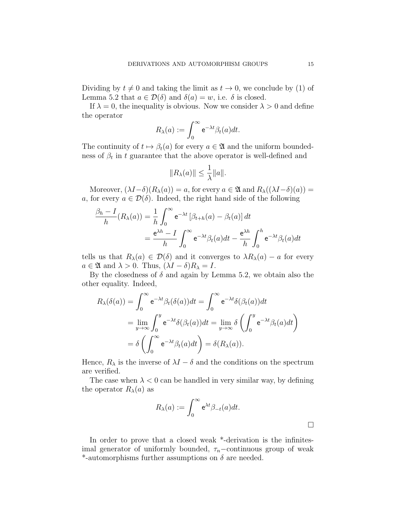Dividing by  $t \neq 0$  and taking the limit as  $t \to 0$ , we conclude by (1) of Lemma 5.2 that  $a \in \mathcal{D}(\delta)$  and  $\delta(a) = w$ , i.e.  $\delta$  is closed.

If  $\lambda = 0$ , the inequality is obvious. Now we consider  $\lambda > 0$  and define the operator

$$
R_{\lambda}(a) := \int_0^{\infty} e^{-\lambda t} \beta_t(a) dt.
$$

The continuity of  $t \mapsto \beta_t(a)$  for every  $a \in \mathfrak{A}$  and the uniform boundedness of  $\beta_t$  in t guarantee that the above operator is well-defined and

$$
||R_{\lambda}(a)|| \leq \frac{1}{\lambda} ||a||.
$$

Moreover,  $(\lambda I - \delta)(R_{\lambda}(a)) = a$ , for every  $a \in \mathfrak{A}$  and  $R_{\lambda}((\lambda I - \delta)(a)) = a$ a, for every  $a \in \mathcal{D}(\delta)$ . Indeed, the right hand side of the following

$$
\frac{\beta_h - I}{h}(R_\lambda(a)) = \frac{1}{h} \int_0^\infty e^{-\lambda t} \left[\beta_{t+h}(a) - \beta_t(a)\right] dt
$$

$$
= \frac{e^{\lambda h} - I}{h} \int_0^\infty e^{-\lambda t} \beta_t(a) dt - \frac{e^{\lambda h}}{h} \int_0^h e^{-\lambda t} \beta_t(a) dt
$$

tells us that  $R_\lambda(a) \in \mathcal{D}(\delta)$  and it converges to  $\lambda R_\lambda(a) - a$  for every  $a \in \mathfrak{A}$  and  $\lambda > 0$ . Thus,  $(\lambda I - \delta)R_{\lambda} = I$ .

By the closedness of  $\delta$  and again by Lemma 5.2, we obtain also the other equality. Indeed,

$$
R_{\lambda}(\delta(a)) = \int_0^{\infty} e^{-\lambda t} \beta_t(\delta(a)) dt = \int_0^{\infty} e^{-\lambda t} \delta(\beta_t(a)) dt
$$
  
= 
$$
\lim_{y \to \infty} \int_0^y e^{-\lambda t} \delta(\beta_t(a)) dt = \lim_{y \to \infty} \delta\left(\int_0^y e^{-\lambda t} \beta_t(a) dt\right)
$$
  
= 
$$
\delta\left(\int_0^{\infty} e^{-\lambda t} \beta_t(a) dt\right) = \delta(R_{\lambda}(a)).
$$

Hence,  $R_{\lambda}$  is the inverse of  $\lambda I - \delta$  and the conditions on the spectrum are verified.

The case when  $\lambda < 0$  can be handled in very similar way, by defining the operator  $R_{\lambda}(a)$  as

$$
R_{\lambda}(a) := \int_0^{\infty} e^{\lambda t} \beta_{-t}(a) dt.
$$

In order to prove that a closed weak \*-derivation is the infinitesimal generator of uniformly bounded,  $\tau_n$ –continuous group of weak \*-automorphisms further assumptions on  $\delta$  are needed.

∃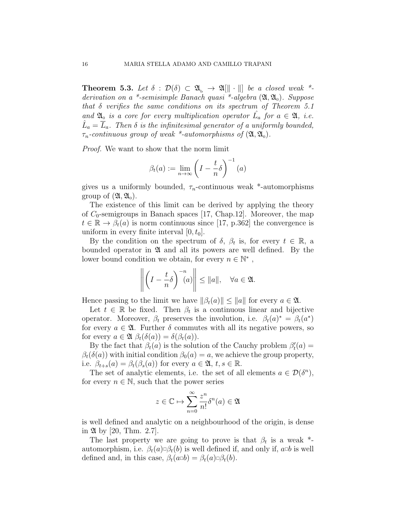**Theorem 5.3.** Let  $\delta : \mathcal{D}(\delta) \subset \mathfrak{A}_{\mathfrak{b}} \to \mathfrak{A}[\|\cdot\|]$  be a closed weak \*derivation on a \*-semisimple Banach quasi \*-algebra  $(\mathfrak{A}, \mathfrak{A}_0)$ . Suppose that  $\delta$  verifies the same conditions on its spectrum of Theorem 5.1 and  $\mathfrak{A}_0$  is a core for every multiplication operator  $\hat{L}_a$  for  $a \in \mathfrak{A}$ , i.e.  $\hat{L}_a = \overline{L}_a$ . Then  $\delta$  is the infinitesimal generator of a uniformly bounded,  $\tau_n$ -continuous group of weak \*-automorphisms of  $(\mathfrak{A}, \mathfrak{A}_0)$ .

Proof. We want to show that the norm limit

$$
\beta_t(a) := \lim_{n \to \infty} \left( I - \frac{t}{n} \delta \right)^{-1}(a)
$$

gives us a uniformly bounded,  $\tau_n$ -continuous weak \*-automorphisms group of  $({\mathfrak{A}},{\mathfrak{A}}_{0}).$ 

The existence of this limit can be derived by applying the theory of  $C_0$ -semigroups in Banach spaces [17, Chap.12]. Moreover, the map  $t \in \mathbb{R} \to \beta_t(a)$  is norm continuous since [17, p.362] the convergence is uniform in every finite interval  $[0, t_0]$ .

By the condition on the spectrum of  $\delta$ ,  $\beta_t$  is, for every  $t \in \mathbb{R}$ , a bounded operator in  $\mathfrak A$  and all its powers are well defined. By the lower bound condition we obtain, for every  $n \in \mathbb{N}^*$ ,

$$
\left\| \left(I - \frac{t}{n} \delta\right)^{-n} (a) \right\| \leq \|a\|, \quad \forall a \in \mathfrak{A}.
$$

Hence passing to the limit we have  $\|\beta_t(a)\| \leq \|a\|$  for every  $a \in \mathfrak{A}$ .

Let  $t \in \mathbb{R}$  be fixed. Then  $\beta_t$  is a continuous linear and bijective operator. Moreover,  $\beta_t$  preserves the involution, i.e.  $\beta_t(a)^* = \beta_t(a^*)$ for every  $a \in \mathfrak{A}$ . Further  $\delta$  commutes with all its negative powers, so for every  $a \in \mathfrak{A}$   $\beta_t(\delta(a)) = \delta(\beta_t(a))$ .

By the fact that  $\beta_t(a)$  is the solution of the Cauchy problem  $\beta'_t(a) =$  $\beta_t(\delta(a))$  with initial condition  $\beta_0(a) = a$ , we achieve the group property, i.e.  $\beta_{t+s}(a) = \beta_t(\beta_s(a))$  for every  $a \in \mathfrak{A}, t, s \in \mathbb{R}$ .

The set of analytic elements, i.e. the set of all elements  $a \in \mathcal{D}(\delta^n)$ , for every  $n \in \mathbb{N}$ , such that the power series

$$
z \in \mathbb{C} \mapsto \sum_{n=0}^{\infty} \frac{z^n}{n!} \delta^n(a) \in \mathfrak{A}
$$

is well defined and analytic on a neighbourhood of the origin, is dense in  $\mathfrak{A}$  by [20, Thm. 2.7].

The last property we are going to prove is that  $\beta_t$  is a weak  $^*$ automorphism, i.e.  $\beta_t(a) \Box \beta_t(b)$  is well defined if, and only if,  $a \Box b$  is well defined and, in this case,  $\beta_t(a\Box b) = \beta_t(a)\Box \beta_t(b)$ .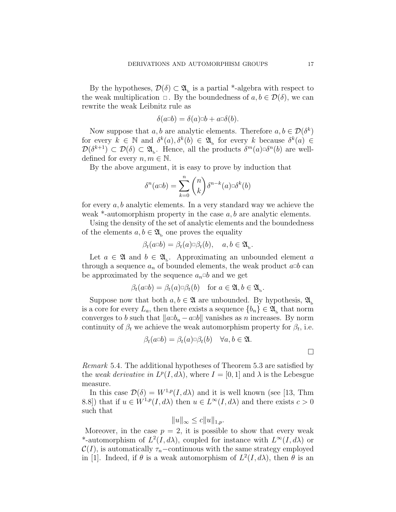By the hypotheses,  $\mathcal{D}(\delta) \subset \mathfrak{A}_{\mathrm{b}}$  is a partial \*-algebra with respect to the weak multiplication  $\Box$ . By the boundedness of  $a, b \in \mathcal{D}(\delta)$ , we can rewrite the weak Leibnitz rule as

$$
\delta(a \Box b) = \delta(a) \Box b + a \Box \delta(b).
$$

Now suppose that a, b are analytic elements. Therefore  $a, b \in \mathcal{D}(\delta^k)$ for every  $k \in \mathbb{N}$  and  $\delta^k(a), \delta^k(b) \in \mathfrak{A}$  for every k because  $\delta^k(a) \in$  $\mathcal{D}(\delta^{k+1}) \subset \mathcal{D}(\delta) \subset \mathfrak{A}_{\mathbf{b}}$ . Hence, all the products  $\delta^m(a) \Box \delta^n(b)$  are welldefined for every  $n, m \in \mathbb{N}$ .

By the above argument, it is easy to prove by induction that

$$
\delta^n(a \Box b) = \sum_{k=0}^n \binom{n}{k} \delta^{n-k}(a) \Box \delta^k(b)
$$

for every  $a, b$  analytic elements. In a very standard way we achieve the weak  $*$ -automorphism property in the case  $a, b$  are analytic elements.

Using the density of the set of analytic elements and the boundedness of the elements  $a, b \in \mathfrak{A}_{b}$  one proves the equality

$$
\beta_t(a\Box b) = \beta_t(a)\Box \beta_t(b), \quad a, b \in \mathfrak{A}_{\mathbf{b}}.
$$

Let  $a \in \mathfrak{A}$  and  $b \in \mathfrak{A}_b$ . Approximating an unbounded element a through a sequence  $a_n$  of bounded elements, the weak product  $a \Box b$  can be approximated by the sequence  $a_n \Box b$  and we get

$$
\beta_t(a \Box b) = \beta_t(a) \Box \beta_t(b) \quad \text{for } a \in \mathfrak{A}, b \in \mathfrak{A}_{\mathbf{b}}.
$$

Suppose now that both  $a, b \in \mathfrak{A}$  are unbounded. By hypothesis,  $\mathfrak{A}_{b}$ is a core for every  $L_a$ , then there exists a sequence  ${b_n} \in \mathfrak{A}$ <sub>b</sub> that norm converges to b such that  $||a \Box b_n - a \Box b||$  vanishes as n increases. By norm continuity of  $\beta_t$  we achieve the weak automorphism property for  $\beta_t$ , i.e.

$$
\beta_t(a \Box b) = \beta_t(a) \Box \beta_t(b) \quad \forall a, b \in \mathfrak{A}.
$$

Remark 5.4. The additional hypotheses of Theorem 5.3 are satisfied by the weak derivative in  $L^p(I, d\lambda)$ , where  $I = [0, 1]$  and  $\lambda$  is the Lebesgue measure.

In this case  $\mathcal{D}(\delta) = W^{1,p}(I, d\lambda)$  and it is well known (see [13, Thm 8.8) that if  $u \in W^{1,p}(I, d\lambda)$  then  $u \in L^{\infty}(I, d\lambda)$  and there exists  $c > 0$ such that

$$
||u||_{\infty} \le c||u||_{1,p}.
$$

Moreover, in the case  $p = 2$ , it is possible to show that every weak \*-automorphism of  $L^2(I, d\lambda)$ , coupled for instance with  $L^{\infty}(I, d\lambda)$  or  $\mathcal{C}(I)$ , is automatically  $\tau_n$ –continuous with the same strategy employed in [1]. Indeed, if  $\theta$  is a weak automorphism of  $L^2(I, d\lambda)$ , then  $\theta$  is an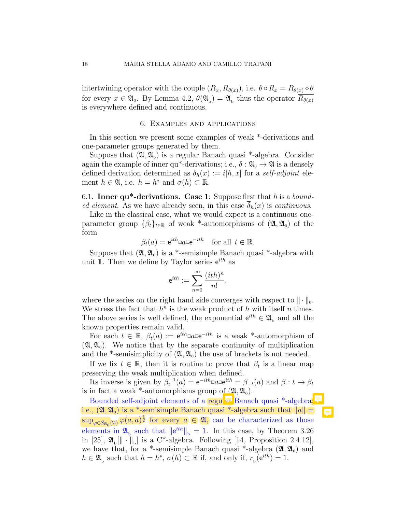intertwining operator with the couple  $(R_x, R_{\theta(x)})$ , i.e.  $\theta \circ R_x = R_{\theta(x)} \circ \theta$ for every  $x \in \mathfrak{A}_0$ . By Lemma 4.2,  $\theta(\mathfrak{A}_b) = \mathfrak{A}_b$  thus the operator  $R_{\theta(x)}$ is everywhere defined and continuous.

### 6. Examples and applications

In this section we present some examples of weak \*-derivations and one-parameter groups generated by them.

Suppose that  $(\mathfrak{A}, \mathfrak{A}_0)$  is a regular Banach quasi \*-algebra. Consider again the example of inner qu<sup>\*</sup>-derivations; i.e.,  $\delta : \mathfrak{A}_{0} \to \mathfrak{A}$  is a densely defined derivation determined as  $\delta_h(x) := i[h, x]$  for a self-adjoint element  $h \in \mathfrak{A}$ , i.e.  $h = h^*$  and  $\sigma(h) \subset \mathbb{R}$ .

6.1. Inner  $qu^*$ -derivations. Case 1: Suppose first that h is a bounded element. As we have already seen, in this case  $\overline{\delta}_h(x)$  is continuous.

Like in the classical case, what we would expect is a continuous oneparameter group  $\{\beta_t\}_{t\in\mathbb{R}}$  of weak \*-automorphisms of  $(\mathfrak{A}, \mathfrak{A}_0)$  of the form

$$
\beta_t(a) = e^{ith} \Box a \Box e^{-ith} \quad \text{for all } t \in \mathbb{R}.
$$

Suppose that  $(\mathfrak{A}, \mathfrak{A}_0)$  is a \*-semisimple Banach quasi \*-algebra with unit 1. Then we define by Taylor series  $e^{ith}$  as

$$
\mathrm{e}^{ith}:=\sum_{n=0}^\infty \frac{(ith)^n}{n!},
$$

where the series on the right hand side converges with respect to  $\|\cdot\|_b$ . We stress the fact that  $h^n$  is the weak product of h with itself n times. The above series is well defined, the exponential  $e^{ith} \in \mathfrak{A}_b$  and all the known properties remain valid.

For each  $t \in \mathbb{R}$ ,  $\beta_t(a) := e^{ith} \square a e^{-ith}$  is a weak \*-automorphism of  $(\mathfrak{A}, \mathfrak{A}_0)$ . We notice that by the separate continuity of multiplication and the \*-semisimplicity of  $(\mathfrak{A}, \mathfrak{A}_0)$  the use of brackets is not needed.

If we fix  $t \in \mathbb{R}$ , then it is routine to prove that  $\beta_t$  is a linear map preserving the weak multiplication when defined.

Its inverse is given by  $\beta_t^{-1}(a) = e^{-ith} \square a \square e^{ith} = \beta_{-t}(a)$  and  $\beta : t \to \beta_t$ is in fact a weak \*-automorphisms group of  $(\mathfrak{A}, \mathfrak{A}_0)$ .

Bounded self-adjoint elements of a regular Banach quasi \*-algebra; i.e.,  $(\mathfrak{A}, \mathfrak{A}_0)$  is a \*-semisimple Banach quasi \*-algebra such that  $||a|| =$  $\sup_{\varphi \in \mathcal{S}_{\mathfrak{A}_0}(\mathfrak{A})} \varphi(a, a)^{\frac{1}{2}}$  for every  $a \in \mathfrak{A}$ , can be characterized as those elements in  $\mathfrak{A}_{\rm b}$  such that  $\|e^{ith}\|_{\rm b} = 1$ . In this case, by Theorem 3.26 in [25],  $\mathfrak{A}_{\rm b}[\|\cdot\|_{\rm b}]$  is a C\*-algebra. Following [14, Proposition 2.4.12], we have that, for a \*-semisimple Banach quasi \*-algebra  $(\mathfrak{A}, \mathfrak{A}_0)$  and  $h \in \mathfrak{A}_{\mathrm{b}}$  such that  $h = h^*, \sigma(h) \subset \mathbb{R}$  if, and only if,  $r_{\mathrm{b}}(\mathrm{e}^{ith}) = 1$ .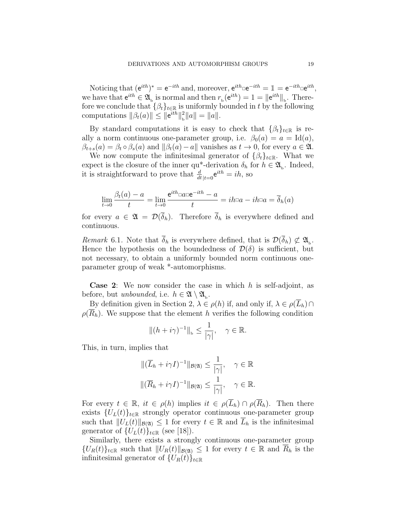Noticing that  $(e^{ith})^* = e^{-ith}$  and, moreover,  $e^{ith} = e^{-ith} = 1 = e^{-ith} e^{ith}$ , we have that  $e^{ith} \in \mathfrak{A}_b$  is normal and then  $r_b(e^{ith}) = 1 = ||e^{ith}||_b$ . Therefore we conclude that  $\{\beta_t\}_{t\in\mathbb{R}}$  is uniformly bounded in t by the following computations  $\|\beta_t(a)\| \leq \|e^{ith}\|_{h}^2$  $_{\rm b}^2||a|| = ||a||.$ 

By standard computations it is easy to check that  $\{\beta_t\}_{t\in\mathbb{R}}$  is really a norm continuous one-parameter group, i.e.  $\beta_0(a) = a = \text{Id}(a)$ ,  $\beta_{t+s}(a) = \beta_t \circ \beta_s(a)$  and  $\|\beta_t(a)-a\|$  vanishes as  $t \to 0$ , for every  $a \in \mathfrak{A}$ .

We now compute the infinitesimal generator of  $\{\beta_t\}_{t\in\mathbb{R}}$ . What we expect is the closure of the inner qu<sup>\*</sup>-derivation  $\delta_h$  for  $h \in \mathfrak{A}_{\mathbf{b}}$ . Indeed, it is straightforward to prove that  $\frac{d}{dt}|_{t=0}e^{ith} = ih$ , so

$$
\lim_{t \to 0} \frac{\beta_t(a) - a}{t} = \lim_{t \to 0} \frac{e^{ith} \Box a \Box e^{-ith} - a}{t} = ih \Box a - ih \Box a = \overline{\delta}_h(a)
$$

for every  $a \in \mathfrak{A} = \mathcal{D}(\overline{\delta}_h)$ . Therefore  $\overline{\delta}_h$  is everywhere defined and continuous.

Remark 6.1. Note that  $\delta_h$  is everywhere defined, that is  $\mathcal{D}(\delta_h) \not\subset \mathfrak{A}_{\mathbf{b}}$ . Hence the hypothesis on the boundedness of  $\mathcal{D}(\delta)$  is sufficient, but not necessary, to obtain a uniformly bounded norm continuous oneparameter group of weak \*-automorphisms.

**Case 2:** We now consider the case in which  $h$  is self-adjoint, as before, but *unbounded*, i.e.  $h \in \mathfrak{A} \setminus \mathfrak{A}_{\mathsf{b}}$ .

By definition given in Section 2,  $\lambda \in \rho(h)$  if, and only if,  $\lambda \in \rho(\overline{L}_h) \cap$  $\rho(\overline{R}_h)$ . We suppose that the element h verifies the following condition

$$
||(h + i\gamma)^{-1}||_{\mathbf{b}} \le \frac{1}{|\gamma|}, \quad \gamma \in \mathbb{R}.
$$

This, in turn, implies that

$$
\begin{aligned} &\|(\overline{L}_h + i\gamma I)^{-1}\|_{\mathcal{B}(\mathfrak{A})} \le \frac{1}{|\gamma|}, \quad \gamma \in \mathbb{R} \\ &\|(\overline{R}_h + i\gamma I)^{-1}\|_{\mathcal{B}(\mathfrak{A})} \le \frac{1}{|\gamma|}, \quad \gamma \in \mathbb{R}. \end{aligned}
$$

For every  $t \in \mathbb{R}$ ,  $it \in \rho(h)$  implies  $it \in \rho(\overline{L}_h) \cap \rho(\overline{R}_h)$ . Then there exists  ${U_L(t)}_{t \in \mathbb{R}}$  strongly operator continuous one-parameter group such that  $||U_L(t)||_{\mathcal{B}(\mathfrak{A})} \leq 1$  for every  $t \in \mathbb{R}$  and  $L_h$  is the infinitesimal generator of  $\{U_L(t)\}_{t\in\mathbb{R}}$  (see [18]).

Similarly, there exists a strongly continuous one-parameter group  $\{U_R(t)\}_{t\in\mathbb{R}}$  such that  $||U_R(t)||_{\mathcal{B}(\mathfrak{A})} \leq 1$  for every  $t \in \mathbb{R}$  and  $R_h$  is the infinitesimal generator of  $\{U_R(t)\}_{t\in\mathbb{R}}$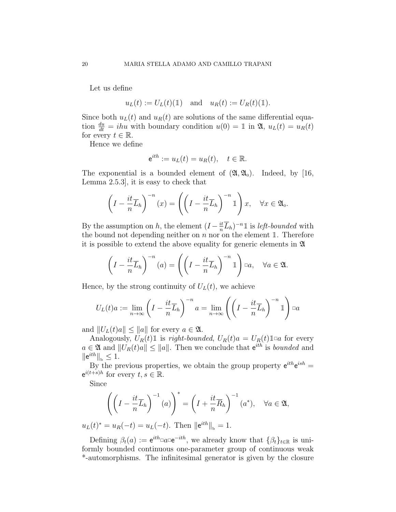Let us define

 $u_L(t) := U_L(t)(\mathbb{1})$  and  $u_R(t) := U_R(t)(\mathbb{1}).$ 

Since both  $u<sub>L</sub>(t)$  and  $u<sub>R</sub>(t)$  are solutions of the same differential equation  $\frac{du}{dt} = ihu$  with boundary condition  $u(0) = 1$  in  $\mathfrak{A}, u_L(t) = u_R(t)$ for every  $t \in \mathbb{R}$ .

Hence we define

$$
e^{ith} := u_L(t) = u_R(t), \quad t \in \mathbb{R}.
$$

The exponential is a bounded element of  $(\mathfrak{A}, \mathfrak{A}_0)$ . Indeed, by [16, Lemma 2.5.3], it is easy to check that

$$
\left(I - \frac{it}{n}\overline{L}_h\right)^{-n}(x) = \left(\left(I - \frac{it}{n}\overline{L}_h\right)^{-n}1\right)x, \quad \forall x \in \mathfrak{A}_0.
$$

By the assumption on h, the element  $(I - \frac{it}{n})$  $\frac{it}{n}\overline{L}_h$ <sup>-n</sup><sup>1</sup> is *left-bounded* with the bound not depending neither on  $n$  nor on the element 1. Therefore it is possible to extend the above equality for generic elements in A

$$
\left(I - \frac{it}{n}\overline{L}_h\right)^{-n}(a) = \left(\left(I - \frac{it}{n}\overline{L}_h\right)^{-n}1\right) \Box a, \quad \forall a \in \mathfrak{A}.
$$

Hence, by the strong continuity of  $U_L(t)$ , we achieve

$$
U_L(t)a := \lim_{n \to \infty} \left( I - \frac{it}{n} \overline{L}_h \right)^{-n} a = \lim_{n \to \infty} \left( \left( I - \frac{it}{n} \overline{L}_h \right)^{-n} \mathbb{1} \right) \Box a
$$

and  $||U_L(t)a|| \leq ||a||$  for every  $a \in \mathfrak{A}$ .

Analogously,  $U_R(t) \mathbb{1}$  is *right-bounded*,  $U_R(t)a = U_R(t) \mathbb{1}$  for every  $a \in \mathfrak{A}$  and  $||U_R(t)a|| \le ||a||$ . Then we conclude that  $e^{ith}$  is *bounded* and  $\|\mathsf{e}^{ith}\|_{\mathsf{b}} \leq 1.$ 

By the previous properties, we obtain the group property  $e^{ith}e^{ish} =$  $e^{i(t+s)h}$  for every  $t, s \in \mathbb{R}$ .

Since

$$
\left(\left(I - \frac{it}{n}\overline{L}_h\right)^{-1}(a)\right)^* = \left(I + \frac{it}{n}\overline{R}_h\right)^{-1}(a^*), \quad \forall a \in \mathfrak{A},
$$

 $u_L(t)^* = u_R(-t) = u_L(-t)$ . Then  $||e^{ith}||_b = 1$ .

Defining  $\beta_t(a) := e^{ith} \Box a \Box e^{-ith}$ , we already know that  $\{\beta_t\}_{t \in \mathbb{R}}$  is uniformly bounded continuous one-parameter group of continuous weak \*-automorphisms. The infinitesimal generator is given by the closure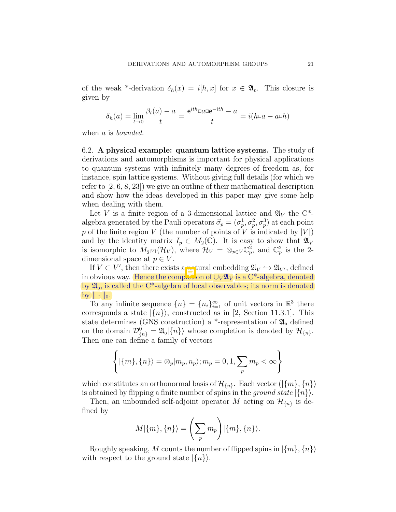of the weak \*-derivation  $\delta_h(x) = i[h, x]$  for  $x \in \mathfrak{A}_0$ . This closure is given by

$$
\overline{\delta}_h(a) = \lim_{t \to 0} \frac{\beta_t(a) - a}{t} = \frac{e^{ith} \Box a \Box e^{-ith} - a}{t} = i(h \Box a - a \Box h)
$$

when a is *bounded*.

6.2. A physical example: quantum lattice systems. The study of derivations and automorphisms is important for physical applications to quantum systems with infinitely many degrees of freedom as, for instance, spin lattice systems. Without giving full details (for which we refer to [2, 6, 8, 23]) we give an outline of their mathematical description and show how the ideas developed in this paper may give some help when dealing with them.

Let V is a finite region of a 3-dimensional lattice and  $\mathfrak{A}_V$  the C<sup>\*</sup>algebra generated by the Pauli operators  $\vec{\sigma}_p = (\sigma_p^1, \sigma_p^2, \sigma_p^3)$  at each point p of the finite region V (the number of points of V is indicated by  $|V|$ ) and by the identity matrix  $I_p \in M_2(\mathbb{C})$ . It is easy to show that  $\mathfrak{A}_V$ is isomorphic to  $M_{2|V|}(\mathcal{H}_V)$ , where  $\mathcal{H}_V = \otimes_{p \in V} \mathbb{C}_p^2$ , and  $\mathbb{C}_p^2$  is the 2dimensional space at  $p \in V$ .

If  $V \subset V'$ , then there exists a natural embedding  $\mathfrak{A}_V \hookrightarrow \mathfrak{A}_{V'}$ , defined in obvious way. Hence the completion of  $\bigcup_{V} \mathfrak{A}_{V}$  is a C<sup>\*</sup>-algebra, denoted by  $\mathfrak{A}_0$ , is called the C<sup>\*</sup>-algebra of local observables; its norm is denoted by  $\|\cdot\|_0$ .

To any infinite sequence  $\{n\} = \{n_i\}_{i=1}^{\infty}$  of unit vectors in  $\mathbb{R}^3$  there corresponds a state  $|\{n\}\rangle$ , constructed as in [2, Section 11.3.1]. This state determines (GNS construction) a \*-representation of  $\mathfrak{A}_{0}$  defined on the domain  $\mathcal{D}_{\{n\}}^0 = \mathfrak{A}_{0} \vert \{n\} \rangle$  whose completion is denoted by  $\mathcal{H}_{\{n\}}$ . Then one can define a family of vectors

$$
\left\{ |\{m\},\{n\}\rangle = \otimes_p |m_p,n_p\rangle; m_p = 0,1, \sum_p m_p < \infty \right\}
$$

which constitutes an orthonormal basis of  $\mathcal{H}_{\{n\}}$ . Each vector  $(|\{m\}, \{n\}\rangle)$ is obtained by flipping a finite number of spins in the ground state  $|\{n\}\rangle$ .

Then, an unbounded self-adjoint operator M acting on  $\mathcal{H}_{\{n\}}$  is defined by

$$
M|\{m\},\{n\}\rangle = \left(\sum_p m_p\right)|\{m\},\{n\}\rangle.
$$

Roughly speaking, M counts the number of flipped spins in  $\vert \{m\}, \{n\} \rangle$ with respect to the ground state  $|\{n\}\rangle$ .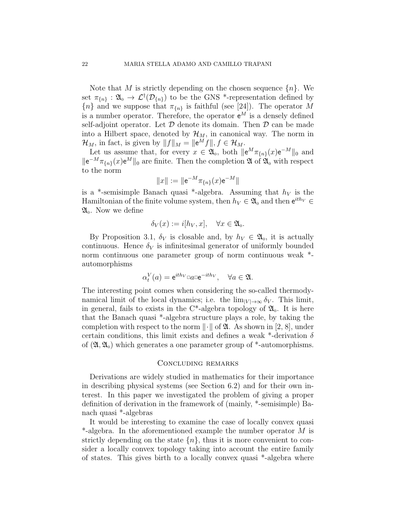Note that M is strictly depending on the chosen sequence  $\{n\}$ . We set  $\pi_{\{n\}} : \mathfrak{A}_{0} \to \mathcal{L}^{\dagger}(\mathcal{D}_{\{n\}})$  to be the GNS \*-representation defined by  ${n \choose n}$  and we suppose that  $\pi_{\{n\}}$  is faithful (see [24]). The operator M is a number operator. Therefore, the operator  $e^M$  is a densely defined self-adjoint operator. Let  $D$  denote its domain. Then  $D$  can be made into a Hilbert space, denoted by  $\mathcal{H}_M$ , in canonical way. The norm in  $\mathcal{H}_M$ , in fact, is given by  $||f||_M = ||e^M f||, f \in \mathcal{H}_M$ .

Let us assume that, for every  $x \in \mathfrak{A}_0$ , both  $\Vert e^M \pi_{\{n\}}(x) e^{-M} \Vert_0$  and  $\|\mathbf{e}^{-M}\pi_{\{n\}}(x)\mathbf{e}^{M}\|_{0}$  are finite. Then the completion  $\mathfrak{A}$  of  $\mathfrak{A}_{0}$  with respect to the norm

$$
||x|| := ||e^{-M}\pi_{\{n\}}(x)e^{-M}||
$$

is a \*-semisimple Banach quasi \*-algebra. Assuming that  $h_V$  is the Hamiltonian of the finite volume system, then  $h_V \in \mathfrak{A}_0$  and then  $e^{ith_V} \in$  $\mathfrak{A}_0$ . Now we define

$$
\delta_V(x) := i[h_V, x], \quad \forall x \in \mathfrak{A}_0.
$$

By Proposition 3.1,  $\delta_V$  is closable and, by  $h_V \in \mathfrak{A}_0$ , it is actually continuous. Hence  $\delta_V$  is infinitesimal generator of uniformly bounded norm continuous one parameter group of norm continuous weak \* automorphisms

$$
\alpha_t^V(a) = e^{ith_V} \Box a \Box e^{-ith_V}, \quad \forall a \in \mathfrak{A}.
$$

The interesting point comes when considering the so-called thermodynamical limit of the local dynamics; i.e. the  $\lim_{|V| \to \infty} \delta_V$ . This limit, in general, fails to exists in the  $C^*$ -algebra topology of  $\mathfrak{A}_0$ . It is here that the Banach quasi \*-algebra structure plays a role, by taking the completion with respect to the norm  $\|\cdot\|$  of  $\mathfrak{A}$ . As shown in [2, 8], under certain conditions, this limit exists and defines a weak  $*$ -derivation  $\delta$ of  $(\mathfrak{A}, \mathfrak{A}_0)$  which generates a one parameter group of  $*$ -automorphisms.

#### Concluding remarks

Derivations are widely studied in mathematics for their importance in describing physical systems (see Section 6.2) and for their own interest. In this paper we investigated the problem of giving a proper definition of derivation in the framework of (mainly, \*-semisimple) Banach quasi \*-algebras

It would be interesting to examine the case of locally convex quasi  $*$ -algebra. In the aforementioned example the number operator M is strictly depending on the state  $\{n\}$ , thus it is more convenient to consider a locally convex topology taking into account the entire family of states. This gives birth to a locally convex quasi \*-algebra where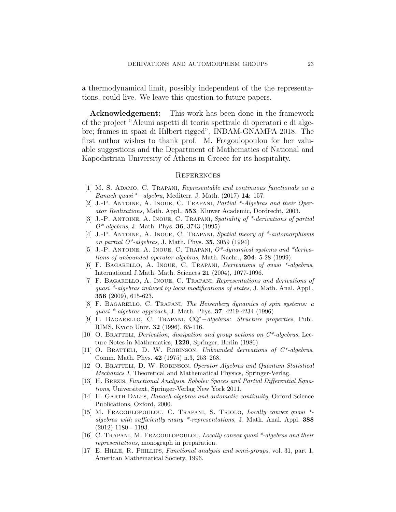a thermodynamical limit, possibly independent of the the representations, could live. We leave this question to future papers.

Acknowledgement: This work has been done in the framework of the project "Alcuni aspetti di teoria spettrale di operatori e di algebre; frames in spazi di Hilbert rigged", INDAM-GNAMPA 2018. The first author wishes to thank prof. M. Fragoulopoulou for her valuable suggestions and the Department of Mathematics of National and Kapodistrian University of Athens in Greece for its hospitality.

#### **REFERENCES**

- [1] M. S. Adamo, C. Trapani, Representable and continuous functionals on a Banach quasi <sup>∗</sup>−algebra, Mediterr. J. Math. (2017) 14: 157.
- [2] J.-P. Antoine, A. Inoue, C. Trapani, Partial \*-Algebras and their Operator Realizations, Math. Appl., 553, Kluwer Academic, Dordrecht, 2003.
- [3] J.-P. Antoine, A. Inoue, C. Trapani, Spatiality of \*-derivations of partial  $O^*$ -algebras, J. Math. Phys. **36**, 3743 (1995)
- [4] J.-P. ANTOINE, A. INOUE, C. TRAPANI, Spatial theory of \*-automorphisms on partial  $O^*$ -algebras, J. Math. Phys. 35, 3059 (1994)
- [5] J.-P. Antoine, A. Inoue, C. Trapani, O\*-dynamical systems and \*derivations of unbounded operator algebras, Math. Nachr., 204: 5-28 (1999).
- [6] F. BAGARELLO, A. INOUE, C. TRAPANI, *Derivations of quasi* \*-algebras, International J.Math. Math. Sciences 21 (2004), 1077-1096.
- [7] F. Bagarello, A. Inoue, C. Trapani, Representations and derivations of quasi \*-algebras induced by local modifications of states, J. Math. Anal. Appl., 356 (2009), 615-623.
- [8] F. Bagarello, C. Trapani, The Heisenberg dynamics of spin systems: a quasi  $*$ -algebras approach, J. Math. Phys. 37, 4219-4234 (1996)
- [9] F. Bagarello, C. Trapani, CQ<sup>∗</sup>−algebras: Structure properties, Publ. RIMS, Kyoto Univ. 32 (1996), 85-116.
- [10] O. BRATTELI, *Derivation, dissipation and group actions on*  $C^*$ -algebras, Lecture Notes in Mathematics, 1229, Springer, Berlin (1986).
- [11] O. BRATTELI, D. W. ROBINSON, Unbounded derivations of  $C^*$ -algebras, Comm. Math. Phys. 42 (1975) n.3, 253–268.
- [12] O. BRATTELI, D. W. ROBINSON, Operator Algebras and Quantum Statistical Mechanics I, Theoretical and Mathematical Physics, Springer-Verlag.
- [13] H. Brezis, Functional Analysis, Sobolev Spaces and Partial Differential Equations, Universitext, Springer-Verlag New York 2011.
- [14] H. GARTH DALES, *Banach algebras and automatic continuity*, Oxford Science Publications, Oxford, 2000.
- [15] M. FRAGOULOPOULOU, C. TRAPANI, S. TRIOLO, Locally convex quasi \*algebras with sufficiently many \*-representations, J. Math. Anal. Appl. 388 (2012) 1180 - 1193.
- [16] C. Trapani, M. Fragoulopoulou, Locally convex quasi \*-algebras and their representations, monograph in preparation.
- [17] E. Hille, R. Phillips, Functional analysis and semi-groups, vol. 31, part 1, American Mathematical Society, 1996.